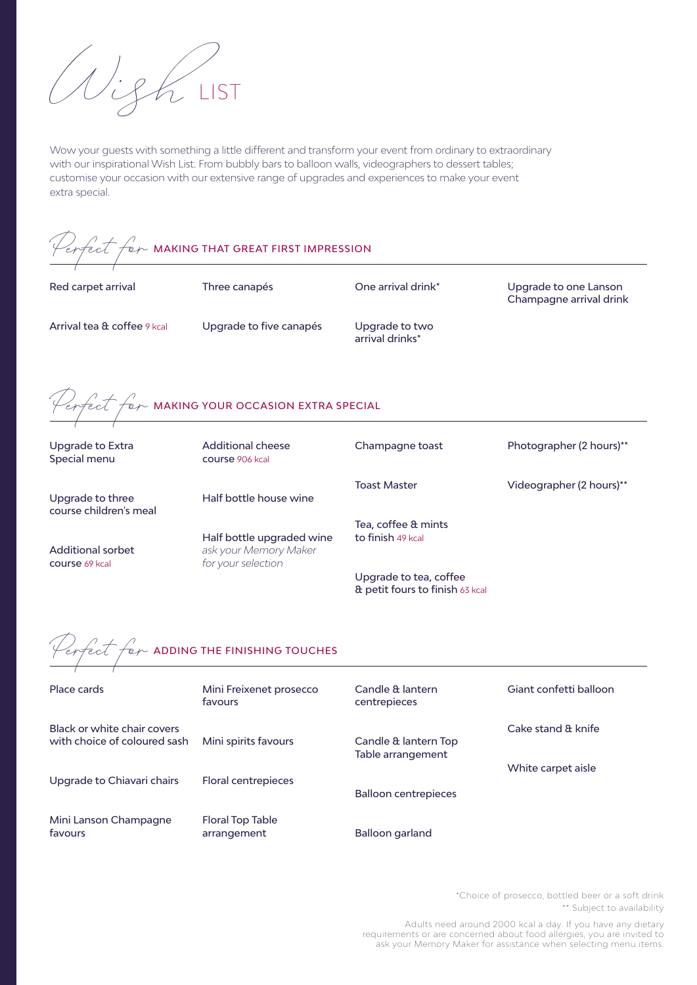

Wow your guests with something a little different and transform your event from ordinary to extraordinary with our inspirational Wish List. From bubbly bars to balloon walls, videographers to dessert tables; customise your occasion with our extensive range of upgrades and experiences to make your event extra special.

<span id="page-0-1"></span>

| $\sqrt{2\pi}$ $\sqrt{2\pi}$ MAKING THAT GREAT FIRST IMPRESSION |                                             |                                                           |                                                  |  |  |
|----------------------------------------------------------------|---------------------------------------------|-----------------------------------------------------------|--------------------------------------------------|--|--|
| Red carpet arrival                                             | Three canapés                               | One arrival drink*                                        | Upgrade to one Lanson<br>Champagne arrival drink |  |  |
| Arrival tea & coffee 9 kcal                                    | Upgrade to five canapés                     | Upgrade to two<br>arrival drinks*                         |                                                  |  |  |
| erfect for MAKING YOUR OCCASION EXTRA SPECIAL                  |                                             |                                                           |                                                  |  |  |
| <b>Upgrade to Extra</b><br>Special menu                        | <b>Additional cheese</b><br>course 906 kcal | Champagne toast                                           | Photographer (2 hours)**                         |  |  |
| Upgrade to three<br>course children's meal                     | Half bottle house wine                      | <b>Toast Master</b>                                       | Videographer (2 hours)**                         |  |  |
|                                                                | Half bottle upgraded wine                   | Tea, coffee & mints<br>to finish 49 kcal                  |                                                  |  |  |
| <b>Additional sorbet</b><br><b>course 69 kcal</b>              | ask your Memory Maker<br>for your selection |                                                           |                                                  |  |  |
|                                                                |                                             | Upgrade to tea, coffee<br>& petit fours to finish 63 kcal |                                                  |  |  |
| erfect for ADDING THE FINISHING TOUCHES                        |                                             |                                                           |                                                  |  |  |
| Place cards                                                    | Mini Freixenet prosecco<br>favours          | Candle & lantern<br>centrepieces                          | Giant confetti balloon                           |  |  |
| Black or white chair covers<br>with choice of coloured sash    | Mini spirits favours                        | Candle & lantern Top<br>Table arrangement                 | Cake stand & knife                               |  |  |
| Upgrade to Chiavari chairs                                     | <b>Floral centrepieces</b>                  |                                                           | White carpet aisle                               |  |  |
|                                                                |                                             | <b>Balloon centrepieces</b>                               |                                                  |  |  |
| Mini Lanson Champagne<br>favours                               | <b>Floral Top Table</b><br>arrangement      | <b>Balloon garland</b>                                    |                                                  |  |  |

<span id="page-0-0"></span>[\\*](#page-0-1)Choice of prosecco, bottled beer or a soft drink

<span id="page-0-3"></span><span id="page-0-2"></span>[\\*\\*](#page-0-3) Subject to availability

Adults need around 2000 kcal a day. If you have any dietary requirements or are concerned about food allergies, you are invited to ask your Memory Maker for assistance when selecting menu items.